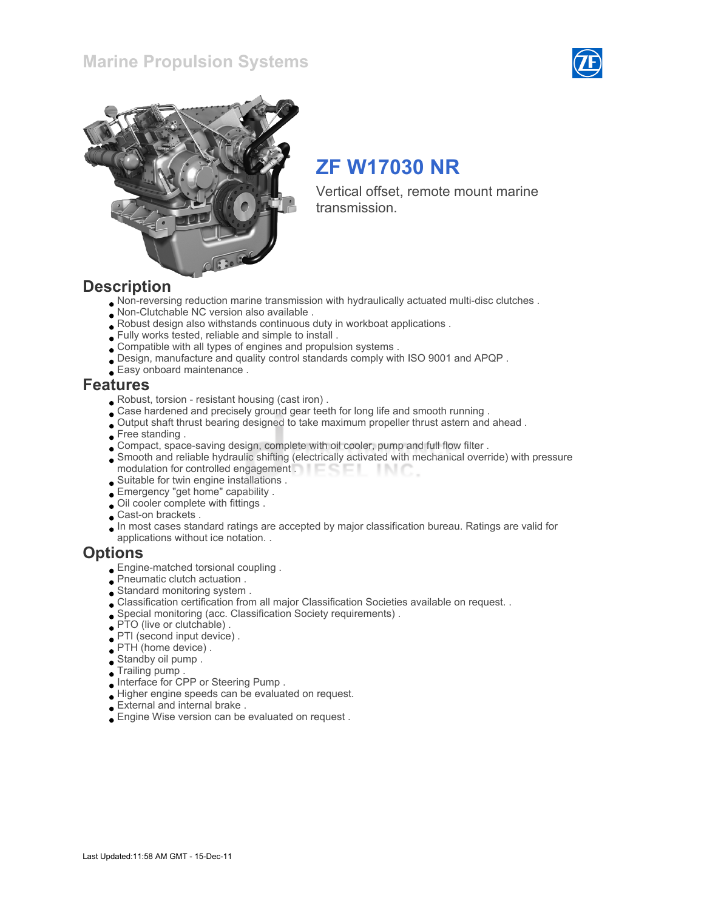



# ZF W17030 NR

Vertical offset, remote mount marine transmission.

### **Description**

- Non-reversing reduction marine transmission with hydraulically actuated multi-disc clutches .
- Non-Clutchable NC version also available .
- Robust design also withstands continuous duty in workboat applications .
- Fully works tested, reliable and simple to install .
- Compatible with all types of engines and propulsion systems .
- Design, manufacture and quality control standards comply with ISO 9001 and APQP .
- Easy onboard maintenance .

### Features

- Robust, torsion resistant housing (cast iron) .
- Case hardened and precisely ground gear teeth for long life and smooth running .
- Output shaft thrust bearing designed to take maximum propeller thrust astern and ahead .
- Free standing.
- Compact, space-saving design, complete with oil cooler, pump and full flow filter .
- Smooth and reliable hydraulic shifting (electrically activated with mechanical override) with pressure modulation for controlled engagement **THE COLL** -INC
- Suitable for twin engine installations .
- Emergency "get home" capability .
- Oil cooler complete with fittings .
- Cast-on brackets .
- In most cases standard ratings are accepted by major classification bureau. Ratings are valid for applications without ice notation. .

### **Options**

- Engine-matched torsional coupling .
- Pneumatic clutch actuation .
- Standard monitoring system .
- Classification certification from all major Classification Societies available on request. .
- Special monitoring (acc. Classification Society requirements) .
- PTO (live or clutchable) .
- PTI (second input device) .
- PTH (home device) .
- Standby oil pump .
- Trailing pump .
- Interface for CPP or Steering Pump .
- Higher engine speeds can be evaluated on request.
- External and internal brake .
- Engine Wise version can be evaluated on request .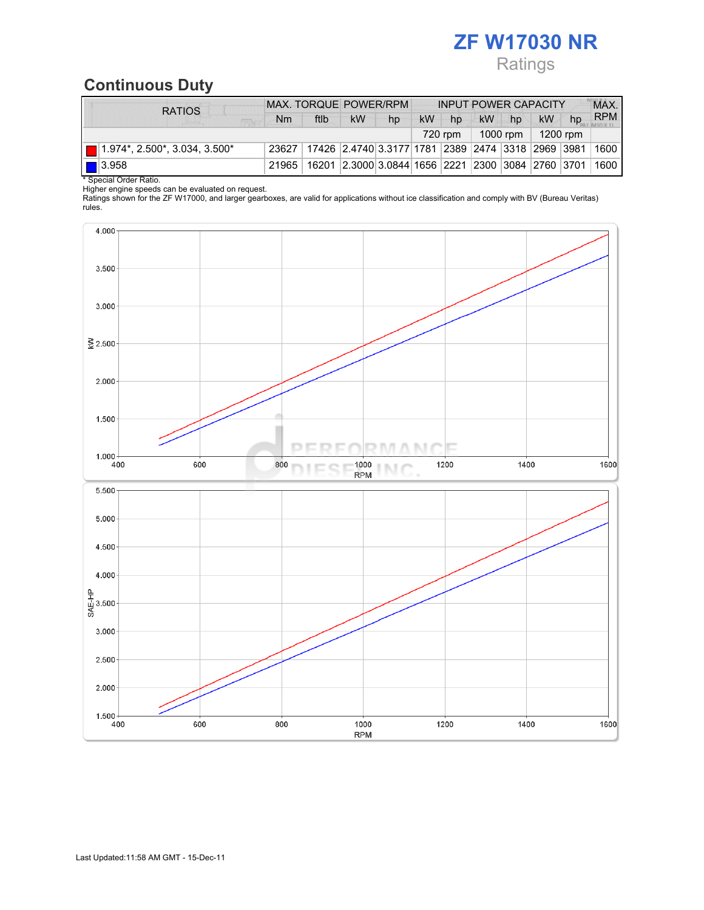# ZF W17030 NR Ratings

# Continuous Duty

| <b>RATIOS</b>                                | MAX. TORQUE POWER/RPM |                                                         |                                                        | <b>INPUT POWER CAPACITY</b> |           |         |           | MAX.     |           |    |            |
|----------------------------------------------|-----------------------|---------------------------------------------------------|--------------------------------------------------------|-----------------------------|-----------|---------|-----------|----------|-----------|----|------------|
|                                              | N <sub>m</sub>        | ftlb                                                    | <b>kW</b>                                              | hp                          | <b>kW</b> | hp      | <b>kW</b> | hp       | <b>kW</b> | hp | <b>RPM</b> |
|                                              |                       |                                                         |                                                        |                             |           | 720 rpm |           | 1000 rpm | 1200 rpm  |    |            |
| $\blacksquare$ 1.974*, 2.500*, 3.034, 3.500* | 23627                 | 17426  2.4740 3.3177 1781  2389  2474  3318  2969  3981 |                                                        |                             |           |         |           |          |           |    | 1600       |
| $\boxed{\square}$ 3.958                      | 21965                 |                                                         | 16201 2.3000 3.0844 1656 2221 2300 3084 2760 3701 1600 |                             |           |         |           |          |           |    |            |
| * Special Order Ratio.                       |                       |                                                         |                                                        |                             |           |         |           |          |           |    |            |

Higher engine speeds can be evaluated on request.

Ratings shown for the ZF W17000, and larger gearboxes, are valid for applications without ice classification and comply with BV (Bureau Veritas) rules.

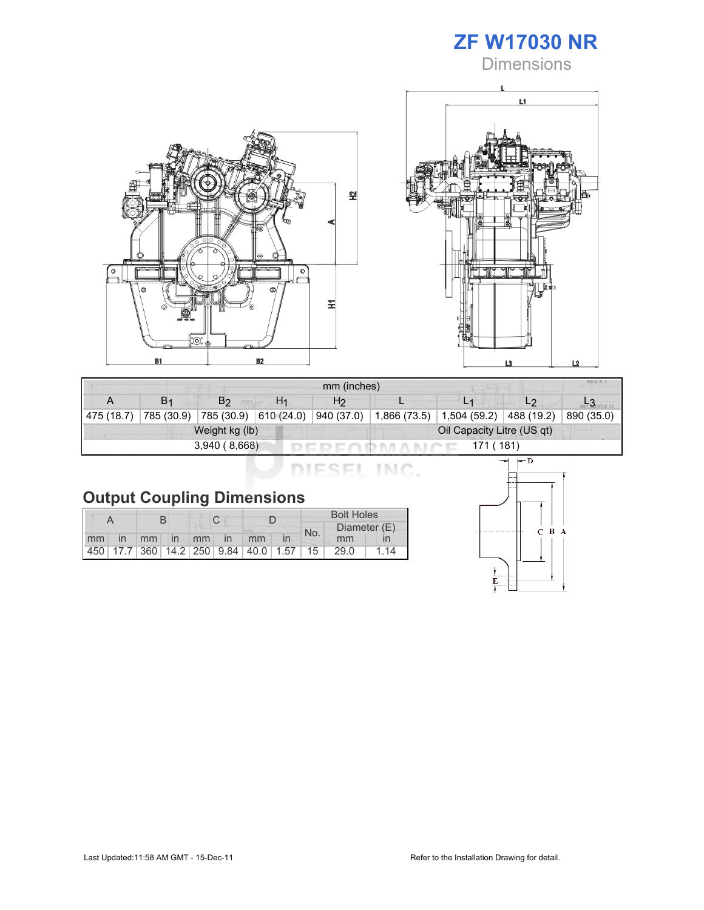





| mm (inches)                |                       |                |                       |                |                            |              |                |            |  |
|----------------------------|-----------------------|----------------|-----------------------|----------------|----------------------------|--------------|----------------|------------|--|
|                            | <b>B</b> <sub>1</sub> | B <sub>2</sub> | H1                    | H <sub>2</sub> |                            |              | L <sub>2</sub> |            |  |
| 475 (18.7)                 | 785 (30.9)            |                | 785 (30.9) 610 (24.0) | 940 (37.0)     | 1,866 (73.5)               | 1,504 (59.2) | 488 (19.2)     | 890 (35.0) |  |
| Weight kg (lb)             |                       |                |                       |                | Oil Capacity Litre (US qt) |              |                |            |  |
| 3,940(8,668)<br>171 ( 181) |                       |                |                       |                |                            |              |                |            |  |

DIESEL INC.

|  | <b>Output Coupling Dimensions</b> |  |
|--|-----------------------------------|--|
|  |                                   |  |

|    |                |  |             |  |  |                                         | <b>Bolt Holes</b> |     |              |      |  |
|----|----------------|--|-------------|--|--|-----------------------------------------|-------------------|-----|--------------|------|--|
|    |                |  |             |  |  |                                         |                   | No. | Diameter (E) |      |  |
| mm | $\overline{m}$ |  | mm in mm in |  |  | mm                                      |                   |     | mm           |      |  |
|    |                |  |             |  |  | 450 17.7 360 14.2 250 9.84 40.0 1.57 15 |                   |     | 29.0         | l 14 |  |

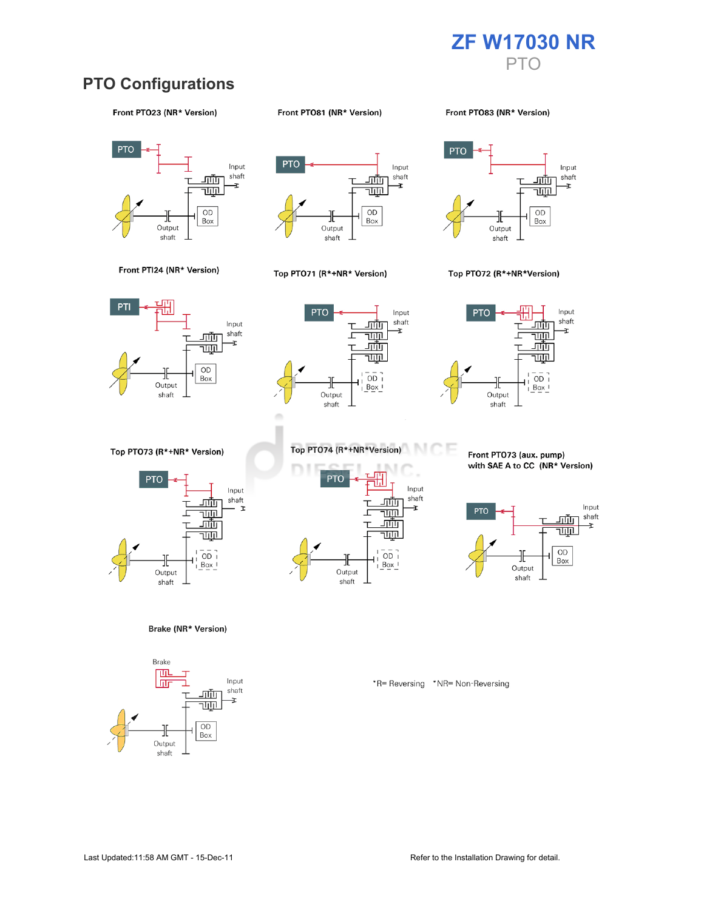

### PTO Configurations

#### Front PTO23 (NR\* Version)

#### Front PTO81 (NR\* Version)

Front PT083 (NR\* Version)





#### Top PTO71 (R\*+NR\* Version)



#### Top PTO72 (R\*+NR\*Version)







Top PTO73 (R\*+NR\* Version)



Brake (NR\* Version)





Front PTO73 (aux. pump) with SAE A to CC (NR\* Version)



\*R= Reversing \*NR= Non-Reversing